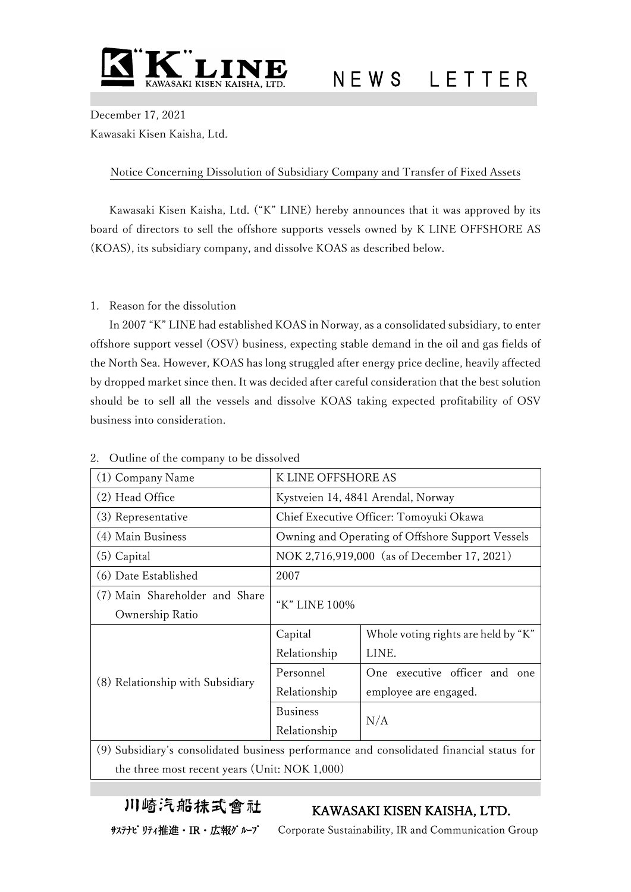

December 17, 2021 Kawasaki Kisen Kaisha, Ltd.

## Notice Concerning Dissolution of Subsidiary Company and Transfer of Fixed Assets

Kawasaki Kisen Kaisha, Ltd. ("K" LINE) hereby announces that it was approved by its board of directors to sell the offshore supports vessels owned by K LINE OFFSHORE AS (KOAS), its subsidiary company, and dissolve KOAS as described below.

### 1. Reason for the dissolution

In 2007 "K" LINE had established KOAS in Norway, as a consolidated subsidiary, to enter offshore support vessel (OSV) business, expecting stable demand in the oil and gas fields of the North Sea. However, KOAS has long struggled after energy price decline, heavily affected by dropped market since then. It was decided after careful consideration that the best solution should be to sell all the vessels and dissolve KOAS taking expected profitability of OSV business into consideration.

| (1) Company Name                                                                         | K LINE OFFSHORE AS                               |                                     |  |
|------------------------------------------------------------------------------------------|--------------------------------------------------|-------------------------------------|--|
| (2) Head Office                                                                          | Kystveien 14, 4841 Arendal, Norway               |                                     |  |
| (3) Representative                                                                       | Chief Executive Officer: Tomoyuki Okawa          |                                     |  |
| (4) Main Business                                                                        | Owning and Operating of Offshore Support Vessels |                                     |  |
| (5) Capital                                                                              | NOK 2,716,919,000 (as of December 17, 2021)      |                                     |  |
| (6) Date Established                                                                     | 2007                                             |                                     |  |
| (7) Main Shareholder and Share                                                           | "K" LINE 100%                                    |                                     |  |
| Ownership Ratio                                                                          |                                                  |                                     |  |
| (8) Relationship with Subsidiary                                                         | Capital                                          | Whole voting rights are held by "K" |  |
|                                                                                          | Relationship                                     | LINE.                               |  |
|                                                                                          | Personnel                                        | One executive officer and<br>one    |  |
|                                                                                          | Relationship                                     | employee are engaged.               |  |
|                                                                                          | <b>Business</b>                                  | N/A                                 |  |
|                                                                                          | Relationship                                     |                                     |  |
| (9) Subsidiary's consolidated business performance and consolidated financial status for |                                                  |                                     |  |

### 2. Outline of the company to be dissolved

(9) Subsidiary's consolidated business performance and consolidated financial status for the three most recent years (Unit: NOK 1,000)

川崎汽船抹式會社

# KAWASAKI KISEN KAISHA, LTD.

サステナビリティ推進·IR·広報ゲループ Corporate Sustainability, IR and Communication Group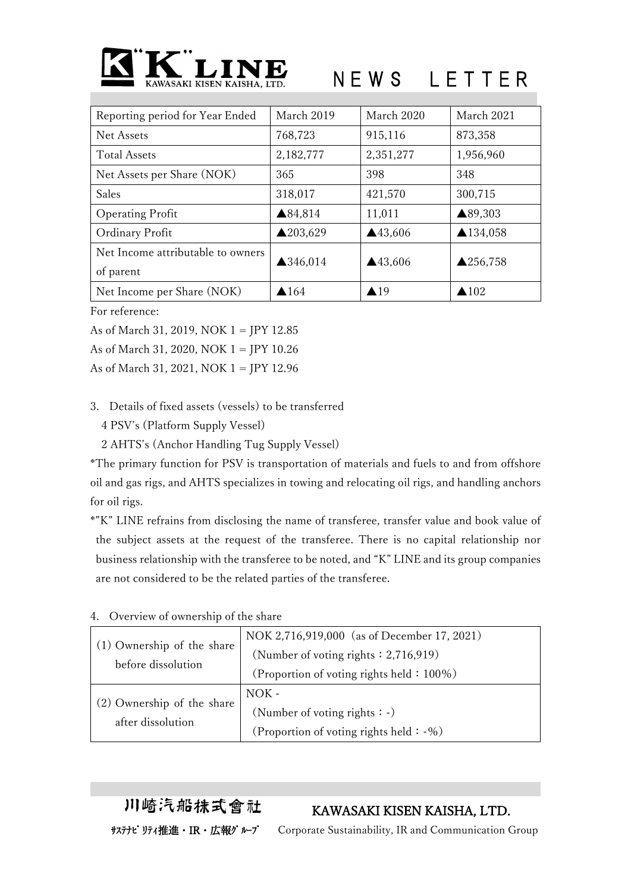

| Reporting period for Year Ended   | March 2019      | March 2020              | March 2021          |
|-----------------------------------|-----------------|-------------------------|---------------------|
| Net Assets                        | 768,723         | 915,116                 | 873,358             |
| <b>Total Assets</b>               | 2,182,777       | 2,351,277               | 1,956,960           |
| Net Assets per Share (NOK)        | 365             | 398                     | 348                 |
| Sales                             | 318,017         | 421,570                 | 300,715             |
| <b>Operating Profit</b>           | ▲84,814         | 11,011                  | ▲89,303             |
| Ordinary Profit                   | ▲203,629        | $\blacktriangle$ 43,606 | ▲134,058            |
| Net Income attributable to owners | ▲346,014        | ▲43,606                 | $\triangle$ 256,758 |
| of parent                         |                 |                         |                     |
| Net Income per Share (NOK)        | $\triangle$ 164 | $\blacktriangle$ 19     | $\triangle 102$     |

For reference:

As of March 31, 2019, NOK 1 = JPY 12.85

As of March 31, 2020, NOK 1 = JPY 10.26

As of March 31, 2021, NOK 1 = JPY 12.96

3. Details of fixed assets (vessels) to be transferred

4 PSV's (Platform Supply Vessel)

2 AHTS's (Anchor Handling Tug Supply Vessel)

\*The primary function for PSV is transportation of materials and fuels to and from offshore oil and gas rigs, and AHTS specializes in towing and relocating oil rigs, and handling anchors for oil rigs.

\*"K" LINE refrains from disclosing the name of transferee, transfer value and book value of the subject assets at the request of the transferee. There is no capital relationship nor business relationship with the transferee to be noted, and "K" LINE and its group companies are not considered to be the related parties of the transferee.

| (1) Ownership of the share<br>before dissolution | NOK 2,716,919,000 (as of December 17, 2021) |  |
|--------------------------------------------------|---------------------------------------------|--|
|                                                  | (Number of voting rights $: 2,716,919$ )    |  |
|                                                  | (Proportion of voting rights held: 100%)    |  |
| (2) Ownership of the share<br>after dissolution  | $NOK -$                                     |  |
|                                                  | (Number of voting rights $\cdot$ -)         |  |
|                                                  | (Proportion of voting rights held: -%)      |  |

4. Overview of ownership of the share

KAWASAKI KISEN KAISHA, LTD.

川崎汽船抹式會社

サステナビリティ推進・IR・広報グループ Corporate Sustainability, IR and Communication Group